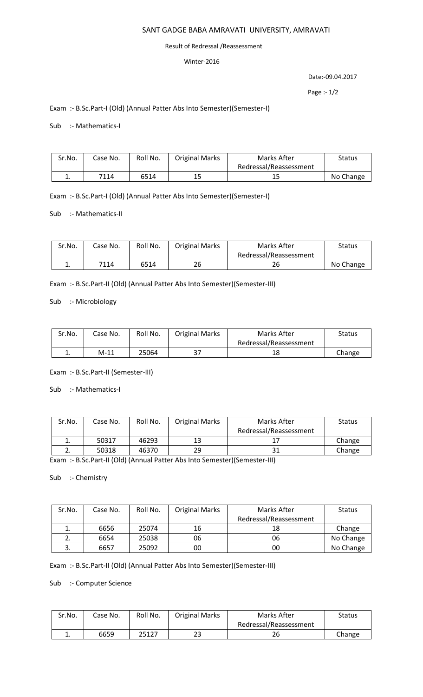# SANT GADGE BABA AMRAVATI UNIVERSITY, AMRAVATI

### Result of Redressal /Reassessment

## Winter-2016

Date:-09.04.2017

Page :- 1/2

# Exam :- B.Sc.Part-I (Old) (Annual Patter Abs Into Semester)(Semester-I)

### Sub :- Mathematics-I

| Sr.No. | Case No. | Roll No. | <b>Original Marks</b> | Marks After            | <b>Status</b> |
|--------|----------|----------|-----------------------|------------------------|---------------|
|        |          |          |                       | Redressal/Reassessment |               |
|        | 7114     | 6514     | 15                    | 15                     | No Change     |

# Exam :- B.Sc.Part-I (Old) (Annual Patter Abs Into Semester)(Semester-I)

### Sub :- Mathematics-II

| Sr.No. | Case No. | Roll No. | <b>Original Marks</b> | Marks After            | Status    |
|--------|----------|----------|-----------------------|------------------------|-----------|
|        |          |          |                       | Redressal/Reassessment |           |
| ᆠ.     | 7114     | 6514     | 26                    | 26                     | No Change |

Exam :- B.Sc.Part-II (Old) (Annual Patter Abs Into Semester)(Semester-III)

# Sub :- Microbiology

| Sr.No.   | Case No. | Roll No. | <b>Original Marks</b> | Marks After            | Status |
|----------|----------|----------|-----------------------|------------------------|--------|
|          |          |          |                       | Redressal/Reassessment |        |
| <b>.</b> | $M-11$   | 25064    | 27                    | 18                     | Change |

### Exam :- B.Sc.Part-II (Semester-III)

Sub :- Mathematics-I

| Sr.No. | Case No. | Roll No. | <b>Original Marks</b> | Marks After            | <b>Status</b> |
|--------|----------|----------|-----------------------|------------------------|---------------|
|        |          |          |                       | Redressal/Reassessment |               |
| ∸.     | 50317    | 46293    | 13                    |                        | Change        |
| ـ.     | 50318    | 46370    | 29                    | 31                     | Change        |

Exam :- B.Sc.Part-II (Old) (Annual Patter Abs Into Semester)(Semester-III)

# Sub :- Chemistry

| Sr.No. | Case No. | Roll No. | <b>Original Marks</b> | Marks After            | Status    |
|--------|----------|----------|-----------------------|------------------------|-----------|
|        |          |          |                       | Redressal/Reassessment |           |
|        | 6656     | 25074    | 16                    | 18                     | Change    |
|        | 6654     | 25038    | 06                    | 06                     | No Change |
| J.     | 6657     | 25092    | 00                    | 00                     | No Change |

Exam :- B.Sc.Part-II (Old) (Annual Patter Abs Into Semester)(Semester-III)

## Sub :- Computer Science

| Sr.No. | Case No. | Roll No. | <b>Original Marks</b> | Marks After            | <b>Status</b> |
|--------|----------|----------|-----------------------|------------------------|---------------|
|        |          |          |                       | Redressal/Reassessment |               |
| . .    | 6659     | 25127    | 23                    | 26                     | Change        |